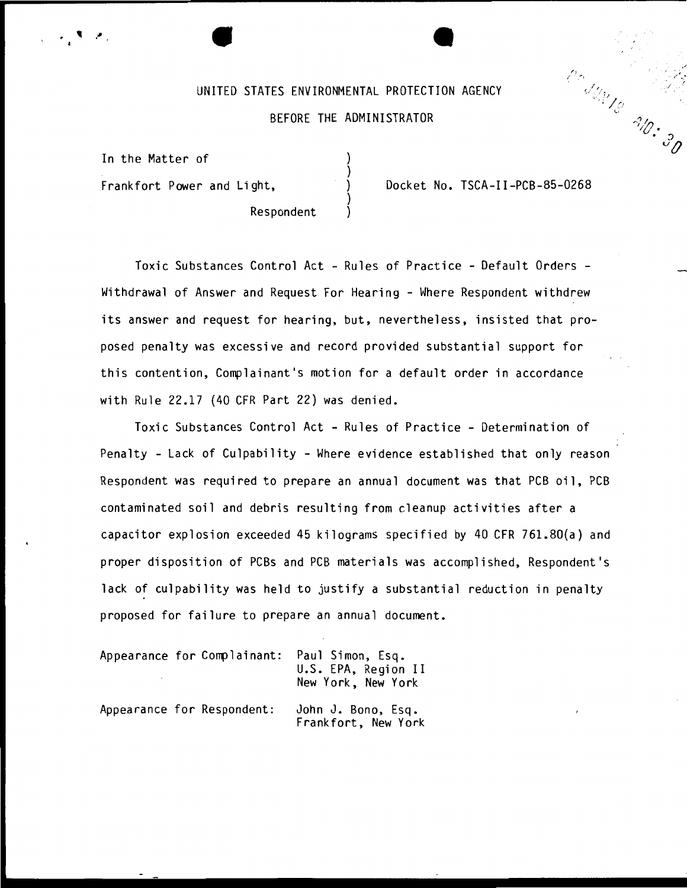# UNITED STATES ENVIRONMENTAL PROTECTION AGENCY BEFORE THE ADMINISTRATOR

) ) ) ) )

Respondent

In the Matter of

Frankfort Power and Light,  $\overrightarrow{)}$  Docket No. TSCA-II-PCB-85-0268

 $\frac{d}{d\mu}\frac{d\mu}{d\sigma}$ 

 $\sqrt{r}$ 

 $\cdot$   $\mathcal{S}_{\mathcal{O}}$ 

'i $v$  •

Toxic Substances Control Act - Rules of Practice - Default Orders - Withdrawal of Answer and Request For Hearing - Where Respondent withdrew its answer and request for hearing, but, nevertheless, insisted that proposed penalty was excessive and record provided substantial support for this contention, Complainant's motion for a default order in accordance with Rule 22.17 (40 CFR Part 22) was denied.

Toxic Substances Control Act - Rules of Practice - Determination of Penalty - Lack of Culpability - Where evidence established that only reason Respondent was required to prepare an annual document was that PCB oil, PCB contaminated soil and debris resulting from cleanup activities after a capacitor explosion exceeded 45 kilograms specified by 40 CFR 761.80(a) and proper disposition of PCBs and PCB materials was accomplished, Respondent's lack of culpability was held to justify a substantial reduction in penalty proposed for failure to prepare an annual document.

|  | Appearance for Complainant: | Paul Simon, Esq.<br>U.S. EPA, Region II<br>New York, New York |
|--|-----------------------------|---------------------------------------------------------------|
|  | Appearance for Respondent:  | John J. Bono, Esq.<br>Frankfort, New York                     |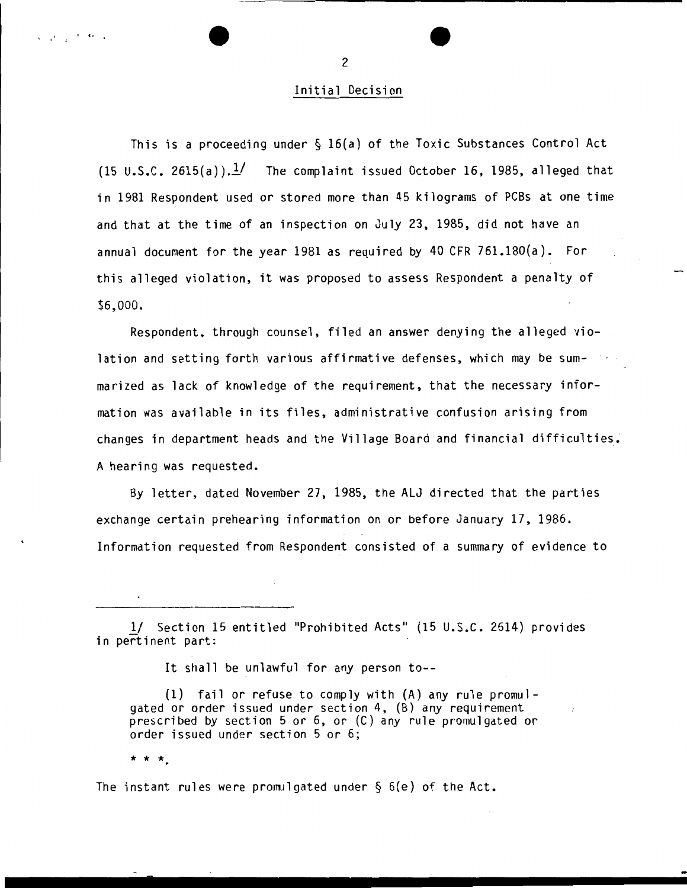### Initial Decision

This is a proceeding under § 16(a) of the Toxic Substances Control Act (15 U.S.C. 2615(a)). $\frac{1}{2}$  The complaint issued October 16, 1985, alleged that in 1981 Respondent used or stored more than 45 kilograms of PCBs at one time and that at the time of an inspection on July 23, 1985, did not have an annual document for the year 1981 as required by 40 CFR 761.180(a). For this alleged violation, it was proposed to assess Respondent a penalty of \$6,000.

Respondent, through counsel, filed an answer denying the alleged violation and setting forth various affirmative defenses, which may be summarized as lack of knowledge of the requirement, that the necessary information was available in its files, administrative confusion arising from changes in department heads and the Village Board and financial difficulties; A hearing was requested.

By letter, dated November 27, 1985, the ALJ directed that the parties exchange certain prehearing information on or before January 17, 1986. Information requested from Respondent consisted of a summary of evidence to

It shall be unlawful for any person to--

(1) fail or refuse to comply with  $(A)$  any rule promul-<br>qated or order issued under section 4,  $(B)$  any requirement prescribed by section 5 or 6, or (C) any rule promulgated or order issued under section 5 or 6;

\* \* \*.

, ... , ... ,

The instant rules were promulgated under  $\S$  6(e) of the Act.

2

*<sup>.!1</sup>* Section 15 entitled "Prohibited Acts" (15 U.S.C. 2614) provides in pertinent part: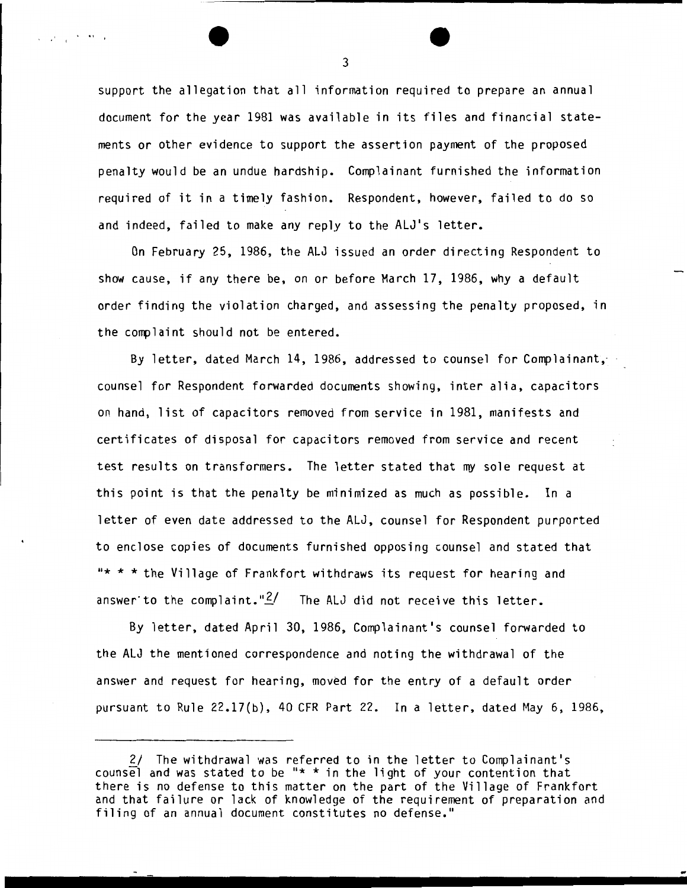support the allegation that all information required to prepare an annual document for the year 1981 was available in its files and financial statements or other evidence to support the assertion payment of the proposed penalty would be an undue hardship. Complainant furnished the information required of it in a timely fashion. Respondent, however, failed to do so and indeed, failed to make any reply to the ALJ's letter.

On February 25, 1986, the ALJ issued an order directing Respondent to show cause, if any there be, on or before March 17, 1986, why a default order finding the violation charged, and assessing the penalty proposed, in the complaint should not be entered.

By letter, dated March 14, 1986, addressed to counsel for Complainant, counsel for Respondent forwarded documents showing, inter alia, capacitors on hand, list of capacitors removed from service in 1981, manifests and certificates of disposal for capacitors removed from service and recent test results on transformers. The letter stated that my sole request at this point is that the penalty be minimized as much as possible. In a letter of even date addressed to the ALJ, counsel for Respondent purported to enclose copies of documents furnished opposing counsel and stated that  $****$  the Village of Frankfort withdraws its request for hearing and answer to the complaint." $\frac{2}{1}$  The ALJ did not receive this letter.

By letter, dated April 30, 1986, Complainant's counsel forwarded to the ALJ the mentioned correspondence and noting the withdrawal of the answer and request for hearing, moved for the entry of a default order pursuant to Rule 22.17(b), 40 CFR Part 22. In a letter, dated May 6, 1986,

3

 $\mathcal{L}^{\mathcal{L}}(\mathcal{Q})=\frac{1}{2}e^{-\frac{2\pi}{3}(\mathcal{L}-\frac{2\pi}{3})}$  , where

<sup>2/</sup> The withdrawal was referred to in the letter to Complainant's counsel and was stated to be "\* \* in the light of your contention that there is no defense to this matter on the part of the Village of Frankfort and that failure or lack of knowledge of the requirement of preparation and filing of an annual document constitutes no defense."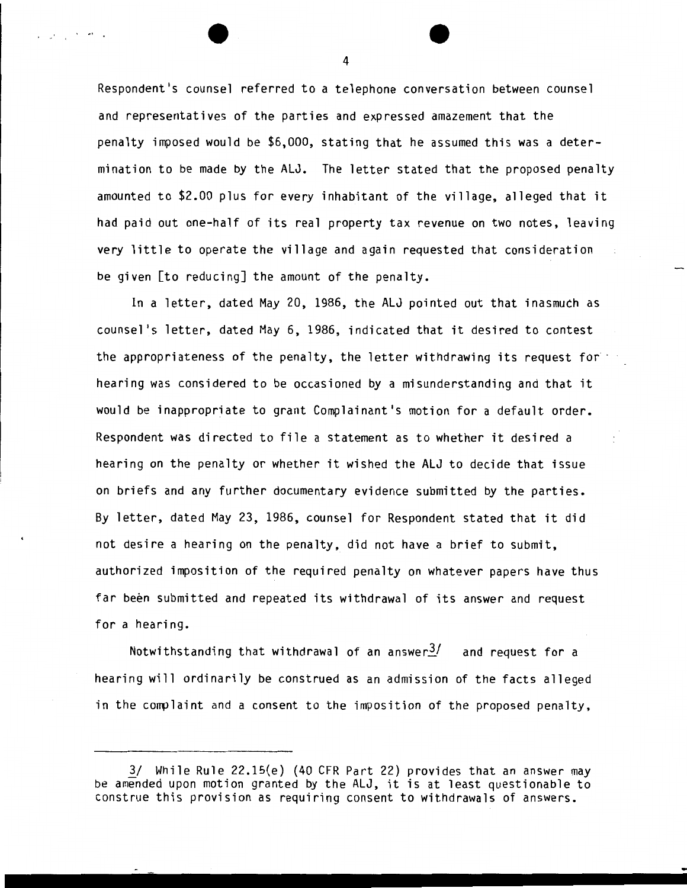Respondent's counsel referred to a telephone conversation between counsel and representatives of the parties and expressed amazement that the penalty imposed would be \$6.000. stating that he assumed this was a determination to be made by the ALJ. The letter stated that the proposed penalty amounted to \$2.00 plus for every inhabitant of the village. alleged that it had paid out one-half of its real property tax revenue on two notes, leaving very little to operate the village and again requested that consideration be given [to reducing] the amount of the penalty.

In a letter, dated May 20, 1986. the ALJ pointed out that inasmuch as counsel's letter, dated May 6, 1986, indicated that it desired to contest the appropriateness of the penalty, the letter withdrawing its request for  $\cdot$ hearing was considered to be occasioned by a misunderstanding and that it would be inappropriate to grant Complainant's motion for a default order. Respondent was directed to file a statement as to whether it desired a hearing on the penalty or whether it wished the ALJ to decide that issue on briefs and any further documentary evidence submitted by the parties. By letter, dated May 23, 1986, counsel for Respondent stated that it did not desire a hearing on the penalty, did not have a brief to submit, authorized imposition of the required penalty on whatever papers have thus far been submitted and repeated its withdrawal of its answer and request for a hearing.

Notwithstanding that withdrawal of an answer $\frac{3}{2}$  and request for a hearing will ordinarily be construed as an admission of the facts alleged in the complaint and a consent to the imposition of the proposed penalty,

4

program in the control

<sup>3/</sup> While Rule 22.15{e) (40 CFR Part 22) provides that an answer may be amended upon motion granted by the ALJ, it is at least questionable to construe this provision as requiring consent to withdrawals of answers.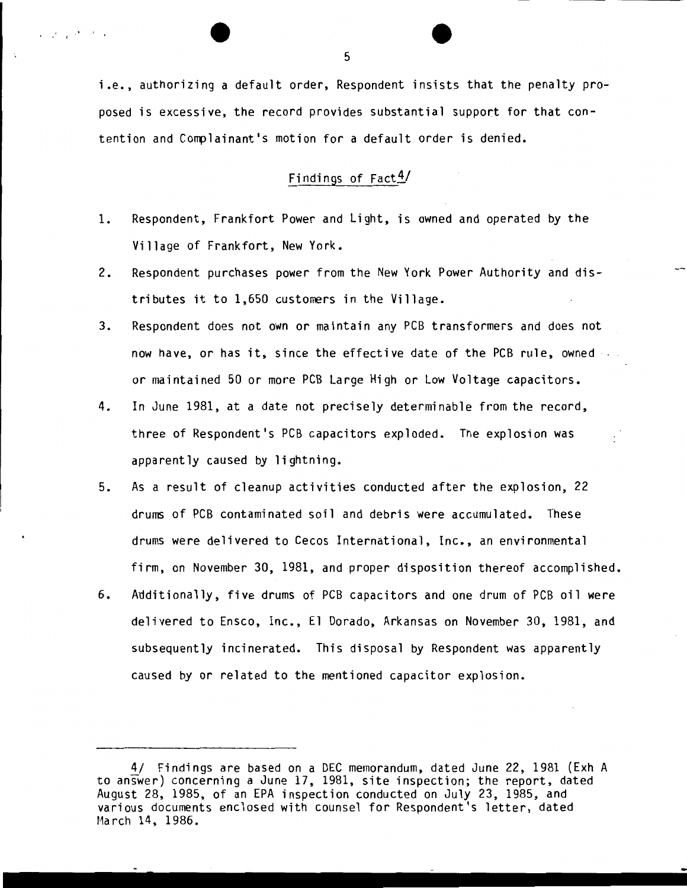i.e., authorizing a default order, Respondent insists that the penalty proposed is excessive, the record provides substantial support for that contention and Complainant's motion for a default order is denied.

## Findings of  $Fact \frac{4}{3}$

- 1. Respondent, Frankfort Power and Light, is owned and operated by the Village of Frankfort, New York.
- 2. Respondent purchases power from the New York Power Authority and distributes it to 1,650 customers in the Village.
- 3. Respondent does not own or maintain any PCB transformers and does not now have, or has it, since the effective date of the PCB rule, owned or maintained 50 or more PCB Large High or Low Voltage capacitors.
- 4. In June 1981, at a date not precisely determinable from the record, three of Respondent's PCB capacitors exploded. The explosion was apparently caused by lightning.
- 5. As a result of cleanup activities conducted after the explosion, 22 drums of PCB contaminated soil and debris were accumulated. These drums were delivered to Cecos International, Inc., an environmental firm, on November 30, 1981, and proper disposition thereof accomplished.
- 6. Additionally, five drums of PCB capacitors and one drum of PCB oil were delivered to Ensco, Inc., El Dorado, Arkansas on November 30, 1981, and subsequently incinerated. This disposal by Respondent was apparently caused by or related to the mentioned capacitor explosion.

5

 $\mathcal{L}_{\mathcal{A}}=\mathcal{L}_{\mathcal{A}}\mathcal{A}$  , where

<sup>4/</sup> Findings are based on a DEC memorandum, dated June 22, 1981 (Exh A to answer) concerning a June 17, 1981, site inspection; the report, dated August 28, 1985, of an EPA inspection conducted on July 23, 1985, and various documents enclosed with counsel for Respondent's letter, dated March 14, 1986.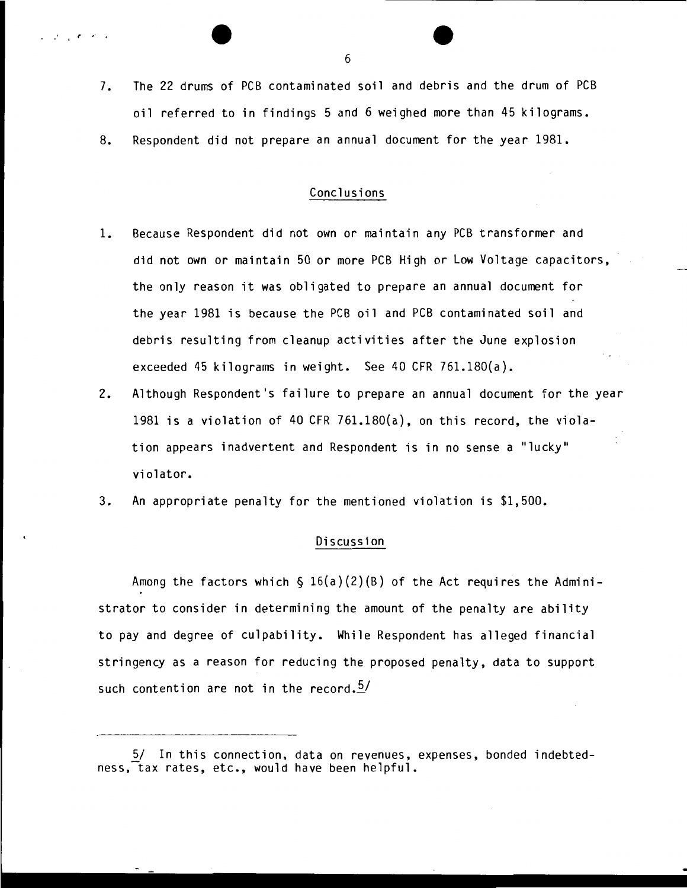- 7. The 22 drums of PCB contaminated soil and debris and the drum of PCB oil referred to in findings 5 and 6 weighed more than 45 kilograms.
- 8. Respondent did not prepare an annual document for the year 1981.

### Conclusions

- 1. Because Respondent did not own or maintain any PCB transformer and did not own or maintain 50 or more PCB High or Low Voltage capacitors, the only reason it was obligated to prepare an annual document for the year 1981 is because the PCB oil and PCB contaminated soil and debris resulting from cleanup activities after the June explosion exceeded 45 kilograms in weight. See 40 CFR 761.180{a).
- 2. Although Respondent's failure to prepare an annual document for the year 1981 is a violation of 40 CFR 761.180(a), on this record, the violation appears inadvertent and Respondent is in no sense a "lucky" violator.
- 3. An appropriate penalty for the mentioned violation is \$1,500.

#### Discussion

Among the factors which  $\S$  16(a)(2)(B) of the Act requires the Administrator to consider in determining the amount of the penalty are ability to pay and degree of culpability. While Respondent has alleged financial stringency as a reason for reducing the proposed penalty, data to support such contention are not in the record. $2/$ 

6

 $\cdot$  .

<sup>5/</sup> In this connection, data on revenues, expenses, bonded indebtedness, tax rates, etc., would have been helpful.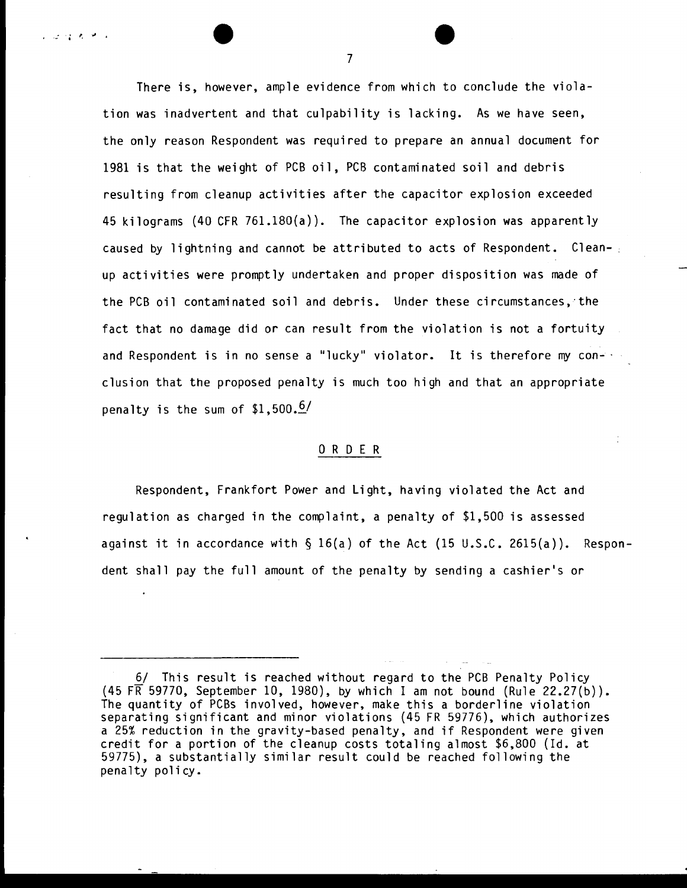There is, however, ample evidence from which to conclude the violation was inadvertent and that culpability is lacking. As we have seen, the only reason Respondent was required to prepare an annual document for 1981 is that the weight of PCB oil, PCB contaminated soil and debris resulting from cleanup activities after the capacitor explosion exceeded 45 kilograms (40 CFR 761.180{a)). The capacitor explosion was apparently caused by lightning and cannot be attributed to acts of Respondent. Clean-. up activities were promptly undertaken and proper disposition was made of the PCB oil contaminated soil and debris. Under these circumstances,'the fact that no damage did or can result from the violation is not a fortuity and Respondent is in no sense a "lucky" violator. It is therefore my con-· elusion that the proposed penalty is much too high and that an appropriate penalty is the sum of  $$1,500.6/$ 

#### 0 R D E R

Respondent, Frankfort Power and Light, having violated the Act and regulation as charged in the complaint, a penalty of \$1,500 is assessed against it in accordance with  $\S$  16(a) of the Act (15 U.S.C. 2615(a)). Respondent shall pay the full amount of the penalty by sending a cashier's or

7

 $\mathcal{L} \subset \mathcal{L} \subset \mathcal{L} \subset \mathcal{L} \subset \mathcal{L} \subset \mathcal{L}$ 

<sup>6/</sup> This result is reached without regard to the PCB Penalty Policy  $(45$  FR 59770, September 10, 1980), by which I am not bound (Rule 22.27(b)). The quantity of PCBs involved, however, make this a borderline violation separating significant and minor violations (45 FR 59776), which authorizes a 25% reduction in the gravity-based penalty, and if Respondent were given credit for a portion of the cleanup costs totaling almost \$6,800 (Id. at 59775), a substantially similar result could be reached following the penalty policy.